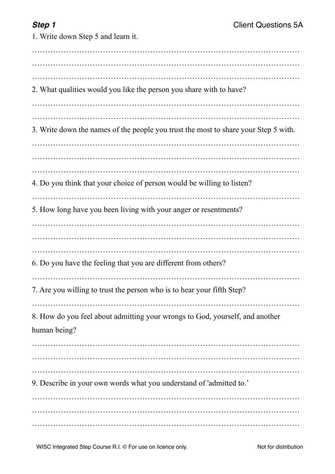1. Write down Step 5 and learn it. ………………………………………………………………………………………… ………………………………………………………………………………………… ………………………………………………………………………………………… 2. What qualities would you like the person you share with to have? ………………………………………………………………………………………… ………………………………………………………………………………………… 3. Write down the names of the people you trust the most to share your Step 5 with. ………………………………………………………………………………………… ………………………………………………………………………………………… ………………………………………………………………………………………… 4. Do you think that your choice of person would be willing to listen? ………………………………………………………………………………………… 5. How long have you been living with your anger or resentments? ………………………………………………………………………………………… ………………………………………………………………………………………… ………………………………………………………………………………………… 6. Do you have the feeling that you are different from others? ………………………………………………………………………………………… 7. Are you willing to trust the person who is to hear your fifth Step? ………………………………………………………………………………………… 8. How do you feel about admitting your wrongs to God, yourself, and another human being? ………………………………………………………………………………………… ………………………………………………………………………………………… ………………………………………………………………………………………… 9. Describe in your own words what you understand of 'admitted to.' ………………………………………………………………………………………… ………………………………………………………………………………………… …………………………………………………………………………………………